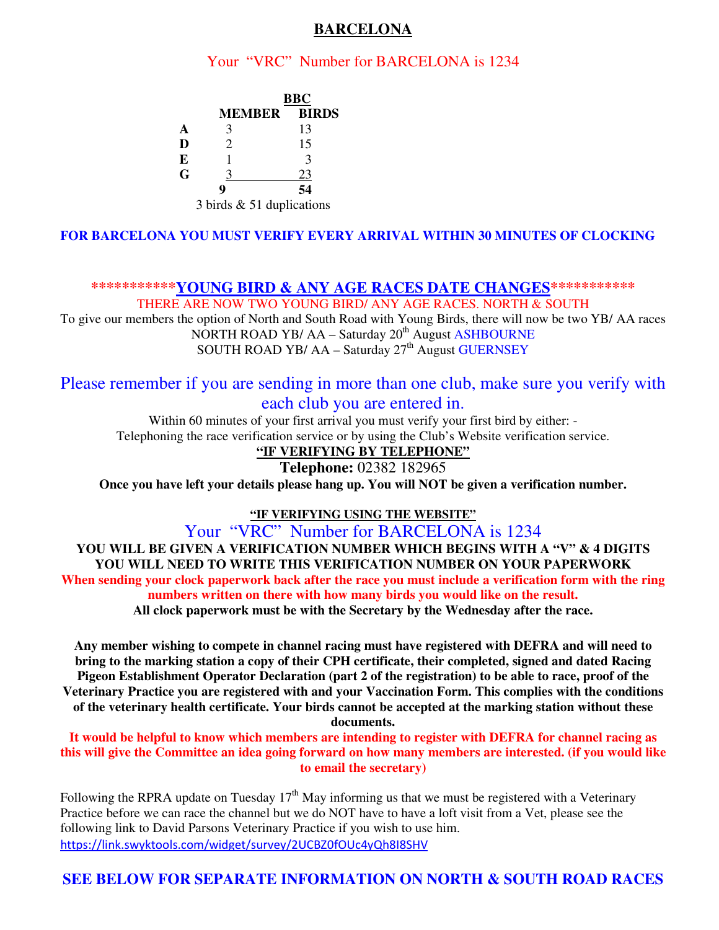### **BARCELONA**

### Your "VRC" Number for BARCELONA is 1234

|   | <b>BBC</b>                           |              |
|---|--------------------------------------|--------------|
|   | <b>MEMBER</b>                        | <b>BIRDS</b> |
| A |                                      | 13           |
| D |                                      | 15           |
| E |                                      |              |
| G |                                      | 23           |
|   |                                      | 54           |
|   | $\sim$ $\sim$ $\sim$ $\sim$<br>- - - | $\cdots$     |

3 birds & 51 duplications

#### **FOR BARCELONA YOU MUST VERIFY EVERY ARRIVAL WITHIN 30 MINUTES OF CLOCKING**

**\*\*\*\*\*\*\*\*\*\*\*YOUNG BIRD & ANY AGE RACES DATE CHANGES\*\*\*\*\*\*\*\*\*\*\*** 

THERE ARE NOW TWO YOUNG BIRD/ ANY AGE RACES. NORTH & SOUTH To give our members the option of North and South Road with Young Birds, there will now be two YB/ AA races NORTH ROAD YB/ AA – Saturday 20<sup>th</sup> August ASHBOURNE SOUTH ROAD YB/ AA - Saturday 27<sup>th</sup> August GUERNSEY

# Please remember if you are sending in more than one club, make sure you verify with each club you are entered in.

Within 60 minutes of your first arrival you must verify your first bird by either: - Telephoning the race verification service or by using the Club's Website verification service.

#### **"IF VERIFYING BY TELEPHONE"**

**Telephone:** 02382 182965

**Once you have left your details please hang up. You will NOT be given a verification number.** 

**"IF VERIFYING USING THE WEBSITE"**

Your "VRC" Number for BARCELONA is 1234

**YOU WILL BE GIVEN A VERIFICATION NUMBER WHICH BEGINS WITH A "V" & 4 DIGITS YOU WILL NEED TO WRITE THIS VERIFICATION NUMBER ON YOUR PAPERWORK When sending your clock paperwork back after the race you must include a verification form with the ring numbers written on there with how many birds you would like on the result. All clock paperwork must be with the Secretary by the Wednesday after the race.** 

**Any member wishing to compete in channel racing must have registered with DEFRA and will need to bring to the marking station a copy of their CPH certificate, their completed, signed and dated Racing Pigeon Establishment Operator Declaration (part 2 of the registration) to be able to race, proof of the Veterinary Practice you are registered with and your Vaccination Form. This complies with the conditions of the veterinary health certificate. Your birds cannot be accepted at the marking station without these documents.** 

**It would be helpful to know which members are intending to register with DEFRA for channel racing as this will give the Committee an idea going forward on how many members are interested. (if you would like to email the secretary)** 

Following the RPRA update on Tuesday  $17<sup>th</sup>$  May informing us that we must be registered with a Veterinary Practice before we can race the channel but we do NOT have to have a loft visit from a Vet, please see the following link to David Parsons Veterinary Practice if you wish to use him. https://link.swyktools.com/widget/survey/2UCBZ0fOUc4yQh8I8SHV

## **SEE BELOW FOR SEPARATE INFORMATION ON NORTH & SOUTH ROAD RACES**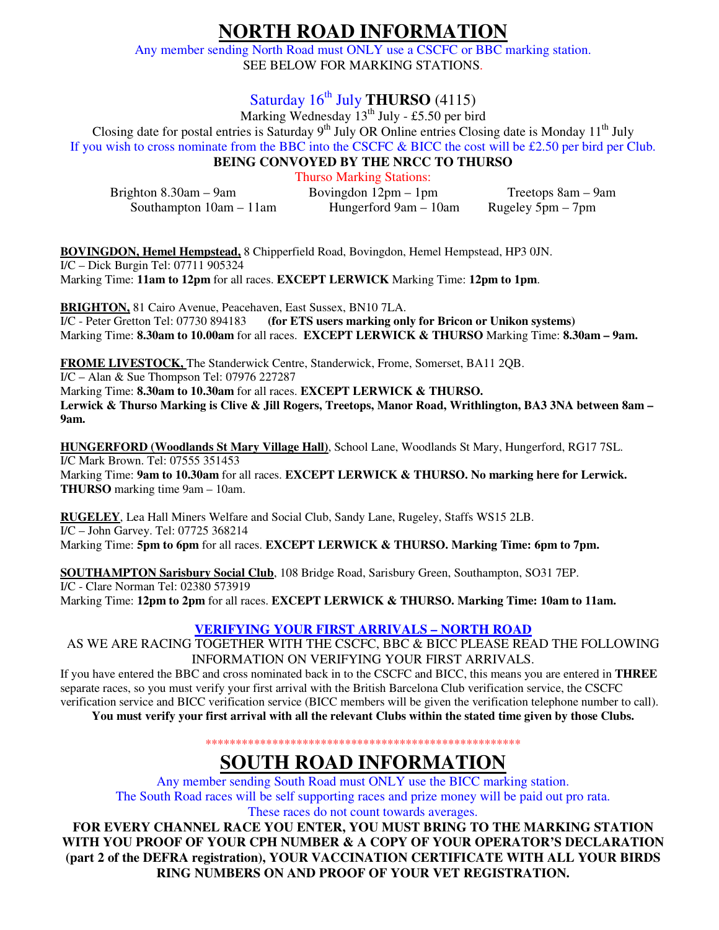# **NORTH ROAD INFORMATION**

Any member sending North Road must ONLY use a CSCFC or BBC marking station. SEE BELOW FOR MARKING STATIONS.

# Saturday 16<sup>th</sup> July **THURSO** (4115)

Marking Wednesday  $13^{th}$  July - £5.50 per bird Closing date for postal entries is Saturday 9<sup>th</sup> July OR Online entries Closing date is Monday 11<sup>th</sup> July

If you wish to cross nominate from the BBC into the CSCFC  $\&$  BICC the cost will be £2.50 per bird per Club.

**BEING CONVOYED BY THE NRCC TO THURSO** 

Thurso Marking Stations:

| Brighton $8.30$ am $-9$ am | Bovingdon $12 \text{pm} - 1 \text{pm}$ | Treetops 8am – 9am  |
|----------------------------|----------------------------------------|---------------------|
| Southampton $10am - 11am$  | Hungerford 9am – 10am                  | Rugeley $5pm - 7pm$ |

**BOVINGDON, Hemel Hempstead,** 8 Chipperfield Road, Bovingdon, Hemel Hempstead, HP3 0JN. I/C – Dick Burgin Tel: 07711 905324 Marking Time: **11am to 12pm** for all races. **EXCEPT LERWICK** Marking Time: **12pm to 1pm**.

**BRIGHTON,** 81 Cairo Avenue, Peacehaven, East Sussex, BN10 7LA. I/C - Peter Gretton Tel: 07730 894183 **(for ETS users marking only for Bricon or Unikon systems)**  Marking Time: **8.30am to 10.00am** for all races. **EXCEPT LERWICK & THURSO** Marking Time: **8.30am – 9am.**

**FROME LIVESTOCK,** The Standerwick Centre, Standerwick, Frome, Somerset, BA11 2QB.

I/C – Alan & Sue Thompson Tel: 07976 227287 Marking Time: **8.30am to 10.30am** for all races. **EXCEPT LERWICK & THURSO. Lerwick & Thurso Marking is Clive & Jill Rogers, Treetops, Manor Road, Writhlington, BA3 3NA between 8am – 9am.** 

**HUNGERFORD (Woodlands St Mary Village Hall)**, School Lane, Woodlands St Mary, Hungerford, RG17 7SL. I/C Mark Brown. Tel: 07555 351453 Marking Time: **9am to 10.30am** for all races. **EXCEPT LERWICK & THURSO. No marking here for Lerwick. THURSO** marking time 9am – 10am.

**RUGELEY**, Lea Hall Miners Welfare and Social Club, Sandy Lane, Rugeley, Staffs WS15 2LB. I/C – John Garvey. Tel: 07725 368214 Marking Time: **5pm to 6pm** for all races. **EXCEPT LERWICK & THURSO. Marking Time: 6pm to 7pm.** 

**SOUTHAMPTON Sarisbury Social Club**, 108 Bridge Road, Sarisbury Green, Southampton, SO31 7EP. I/C - Clare Norman Tel: 02380 573919 Marking Time: **12pm to 2pm** for all races. **EXCEPT LERWICK & THURSO. Marking Time: 10am to 11am.** 

#### **VERIFYING YOUR FIRST ARRIVALS – NORTH ROAD**

AS WE ARE RACING TOGETHER WITH THE CSCFC, BBC & BICC PLEASE READ THE FOLLOWING INFORMATION ON VERIFYING YOUR FIRST ARRIVALS.

If you have entered the BBC and cross nominated back in to the CSCFC and BICC, this means you are entered in **THREE**  separate races, so you must verify your first arrival with the British Barcelona Club verification service, the CSCFC verification service and BICC verification service (BICC members will be given the verification telephone number to call).

**You must verify your first arrival with all the relevant Clubs within the stated time given by those Clubs.** 

\*\*\*\*\*\*\*\*\*\*\*\*\*\*\*\*\*\*\*\*\*\*\*\*\*\*\*\*\*\*\*\*\*\*\*\*\*\*\*\*\*\*\*\*\*\*\*\*\*\*\*\*

# **SOUTH ROAD INFORMATION**

Any member sending South Road must ONLY use the BICC marking station. The South Road races will be self supporting races and prize money will be paid out pro rata.

These races do not count towards averages.

**FOR EVERY CHANNEL RACE YOU ENTER, YOU MUST BRING TO THE MARKING STATION WITH YOU PROOF OF YOUR CPH NUMBER & A COPY OF YOUR OPERATOR'S DECLARATION (part 2 of the DEFRA registration), YOUR VACCINATION CERTIFICATE WITH ALL YOUR BIRDS RING NUMBERS ON AND PROOF OF YOUR VET REGISTRATION.**